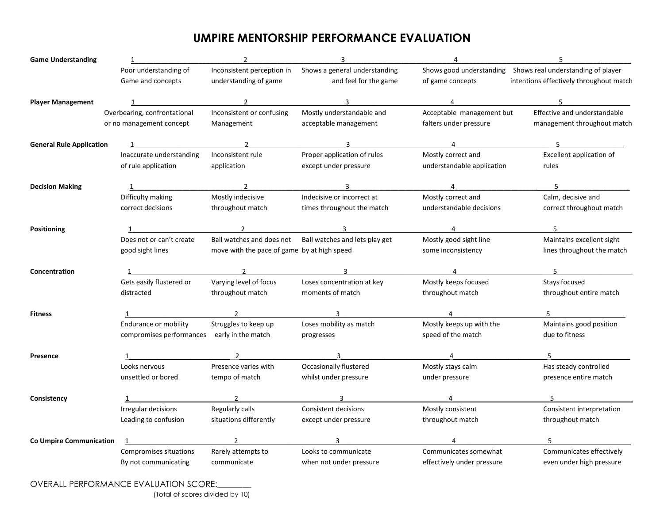## **UMPIRE MENTORSHIP PERFORMANCE EVALUATION**

| <b>Game Understanding</b>       |                                             | $\overline{2}$                              | $\overline{3}$                                           | 4                          | 5                                                           |
|---------------------------------|---------------------------------------------|---------------------------------------------|----------------------------------------------------------|----------------------------|-------------------------------------------------------------|
|                                 | Poor understanding of                       | Inconsistent perception in                  | Shows a general understanding                            |                            | Shows good understanding Shows real understanding of player |
|                                 | Game and concepts                           | understanding of game                       | and feel for the game                                    | of game concepts           | intentions effectively throughout match                     |
| <b>Player Management</b>        |                                             |                                             | $\mathbf{3}$                                             | $\overline{4}$             |                                                             |
|                                 | Overbearing, confrontational                | Inconsistent or confusing                   | Mostly understandable and                                | Acceptable management but  | Effective and understandable                                |
|                                 | or no management concept                    | Management                                  | acceptable management                                    | falters under pressure     | management throughout match                                 |
| <b>General Rule Application</b> |                                             |                                             |                                                          |                            |                                                             |
|                                 | Inaccurate understanding                    | Inconsistent rule                           | Proper application of rules                              | Mostly correct and         | Excellent application of                                    |
|                                 | of rule application                         | application                                 | except under pressure                                    | understandable application | rules                                                       |
| <b>Decision Making</b>          |                                             |                                             |                                                          | $\overline{4}$             | 5                                                           |
|                                 | Difficulty making                           | Mostly indecisive                           | Indecisive or incorrect at                               | Mostly correct and         | Calm, decisive and                                          |
|                                 | correct decisions                           | throughout match                            | times throughout the match                               | understandable decisions   | correct throughout match                                    |
| <b>Positioning</b>              |                                             |                                             |                                                          |                            |                                                             |
|                                 | Does not or can't create                    |                                             | Ball watches and does not Ball watches and lets play get | Mostly good sight line     | Maintains excellent sight                                   |
|                                 | good sight lines                            | move with the pace of game by at high speed |                                                          | some inconsistency         | lines throughout the match                                  |
| Concentration                   |                                             |                                             | $3 \sim 3$                                               | $\overline{4}$             | 5 <sub>5</sub>                                              |
|                                 | Gets easily flustered or                    | Varying level of focus                      | Loses concentration at key                               | Mostly keeps focused       | Stays focused                                               |
|                                 | distracted                                  | throughout match                            | moments of match                                         | throughout match           | throughout entire match                                     |
| <b>Fitness</b>                  |                                             |                                             |                                                          |                            |                                                             |
|                                 | Endurance or mobility                       | Struggles to keep up                        | Loses mobility as match                                  | Mostly keeps up with the   | Maintains good position                                     |
|                                 | compromises performances early in the match |                                             | progresses                                               | speed of the match         | due to fitness                                              |
| Presence                        |                                             | $\overline{2}$                              |                                                          | $\overline{4}$             |                                                             |
|                                 | Looks nervous                               | Presence varies with                        | Occasionally flustered                                   | Mostly stays calm          | Has steady controlled                                       |
|                                 | unsettled or bored                          | tempo of match                              | whilst under pressure                                    | under pressure             | presence entire match                                       |
| Consistency                     |                                             | $\overline{2}$                              |                                                          | 4                          |                                                             |
|                                 | Irregular decisions                         | Regularly calls                             | Consistent decisions                                     | Mostly consistent          | Consistent interpretation                                   |
|                                 | Leading to confusion                        | situations differently                      | except under pressure                                    | throughout match           | throughout match                                            |
| <b>Co Umpire Communication</b>  |                                             |                                             |                                                          |                            |                                                             |
|                                 | Compromises situations                      | Rarely attempts to                          | Looks to communicate                                     | Communicates somewhat      | Communicates effectively                                    |
|                                 | By not communicating                        | communicate                                 | when not under pressure                                  | effectively under pressure | even under high pressure                                    |

OVERALL PERFORMANCE EVALUATION SCORE:\_\_\_\_\_\_\_\_

(Total of scores divided by 10)